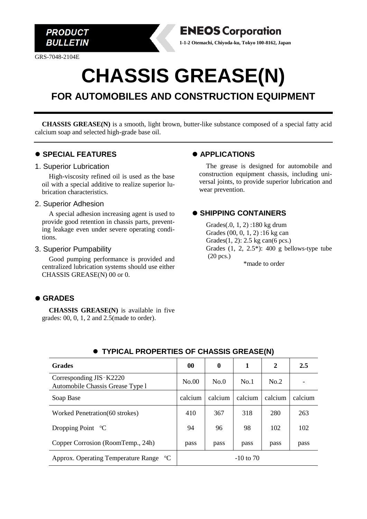

GRS-7048-2104E



# **CHASSIS GREASE(N)**

# **FOR AUTOMOBILES AND CONSTRUCTION EQUIPMENT**

**CHASSIS GREASE(N)** is a smooth, light brown, butter-like substance composed of a special fatty acid calcium soap and selected high-grade base oil.

#### ⚫ **SPECIAL FEATURES**

#### 1. Superior Lubrication

High-viscosity refined oil is used as the base oil with a special additive to realize superior lubrication characteristics.

#### 2. Superior Adhesion

A special adhesion increasing agent is used to provide good retention in chassis parts, preventing leakage even under severe operating conditions.

#### 3. Superior Pumpability

Good pumping performance is provided and centralized lubrication systems should use either CHASSIS GREASE(N) 00 or 0.

# ⚫ **GRADES**

**CHASSIS GREASE(N)** is available in five grades: 00, 0, 1, 2 and 2.5(made to order).

# ⚫ **APPLICATIONS**

The grease is designed for automobile and construction equipment chassis, including universal joints, to provide superior lubrication and wear prevention.

# ⚫ **SHIPPING CONTAINERS**

Grades(.0, 1, 2) :180 kg drum Grades (00, 0, 1, 2) :16 kg can Grades(1, 2): 2.5 kg can(6 pcs.) Grades  $(1, 2, 2.5^*)$ : 400 g bellows-type tube (20 pcs.) \*made to order

| <b>Grades</b>                                                 | 00          | 0       | 1       | $\mathbf{2}$ | 2.5     |
|---------------------------------------------------------------|-------------|---------|---------|--------------|---------|
| Corresponding JIS - K2220<br>Automobile Chassis Grease Type 1 | No.00       | No.0    | No.1    | No.2         |         |
| Soap Base                                                     | calcium     | calcium | calcium | calcium      | calcium |
| Worked Penetration (60 strokes)                               | 410         | 367     | 318     | 280          | 263     |
| Dropping Point $\mathrm{^{\circ}C}$                           | 94          | 96      | 98      | 102          | 102     |
| Copper Corrosion (RoomTemp., 24h)                             | pass        | pass    | pass    | pass         | pass    |
| Approx. Operating Temperature Range <sup>o</sup> C            | $-10$ to 70 |         |         |              |         |

# ⚫ **TYPICAL PROPERTIES OF CHASSIS GREASE(N)**